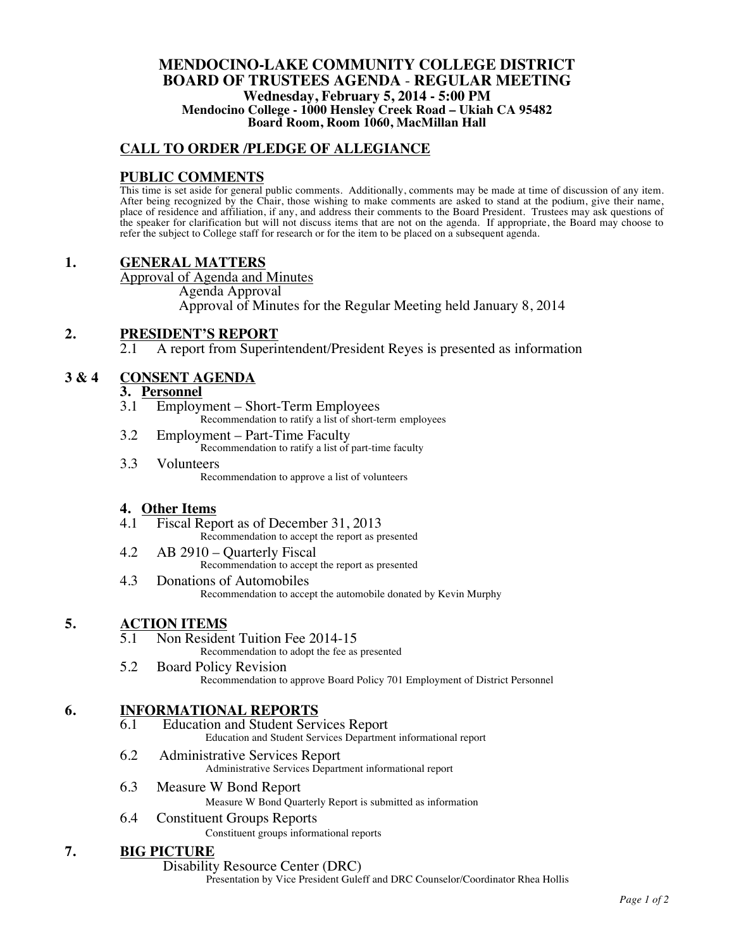### **MENDOCINO-LAKE COMMUNITY COLLEGE DISTRICT BOARD OF TRUSTEES AGENDA** - **REGULAR MEETING Wednesday, February 5, 2014 - 5:00 PM Mendocino College - 1000 Hensley Creek Road – Ukiah CA 95482 Board Room, Room 1060, MacMillan Hall**

## **CALL TO ORDER /PLEDGE OF ALLEGIANCE**

### **PUBLIC COMMENTS**

This time is set aside for general public comments. Additionally, comments may be made at time of discussion of any item. After being recognized by the Chair, those wishing to make comments are asked to stand at the podium, give their name, place of residence and affiliation, if any, and address their comments to the Board President. Trustees may ask questions of the speaker for clarification but will not discuss items that are not on the agenda. If appropriate, the Board may choose to refer the subject to College staff for research or for the item to be placed on a subsequent agenda.

### **1. GENERAL MATTERS**

Approval of Agenda and Minutes

Agenda Approval

Approval of Minutes for the Regular Meeting held January 8, 2014

### **2. PRESIDENT'S REPORT**

A report from Superintendent/President Reyes is presented as information

# **3 & 4 CONSENT AGENDA**

# **3. Personnel**

- Employment Short-Term Employees
	- Recommendation to ratify a list of short-term employees
- 3.2 Employment Part-Time Faculty Recommendation to ratify a list of part-time faculty
- 3.3 Volunteers Recommendation to approve a list of volunteers

# **4. Other Items**

- Fiscal Report as of December 31, 2013 Recommendation to accept the report as presented
- 4.2 AB 2910 Quarterly Fiscal Recommendation to accept the report as presented
- 4.3 Donations of Automobiles Recommendation to accept the automobile donated by Kevin Murphy

- **5. ACTION ITEMS**<br>5.1 Non Resident Tuition Fee 2014-15 Recommendation to adopt the fee as presented
	- 5.2 Board Policy Revision Recommendation to approve Board Policy 701 Employment of District Personnel

### **6. INFORMATIONAL REPORTS**

- 6.1 Education and Student Services Report Education and Student Services Department informational report
- 6.2 Administrative Services Report Administrative Services Department informational report
- 6.3 Measure W Bond Report
	- Measure W Bond Quarterly Report is submitted as information
- 6.4 Constituent Groups Reports Constituent groups informational reports

# **7. BIG PICTURE**

Disability Resource Center (DRC)

Presentation by Vice President Guleff and DRC Counselor/Coordinator Rhea Hollis